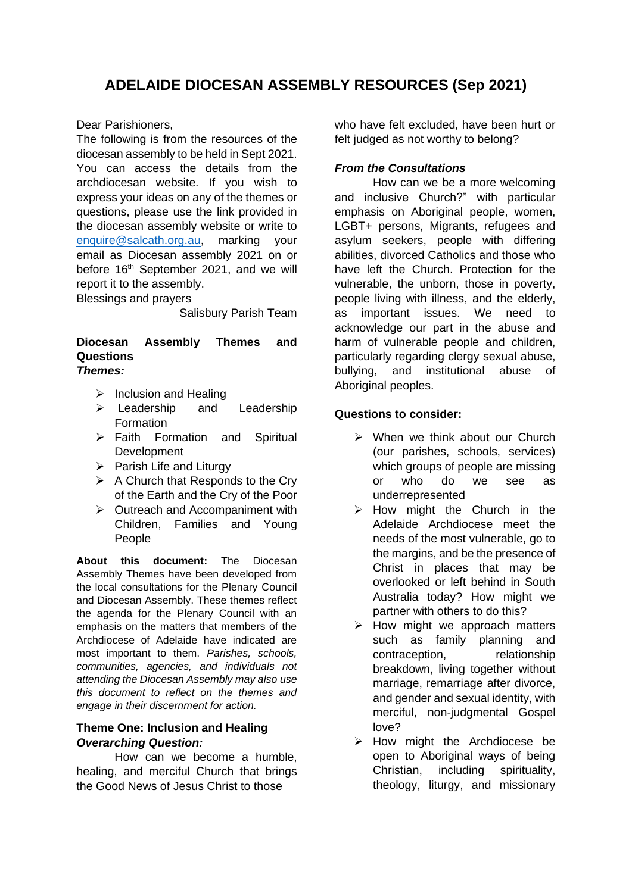# **ADELAIDE DIOCESAN ASSEMBLY RESOURCES (Sep 2021)**

Dear Parishioners,

The following is from the resources of the diocesan assembly to be held in Sept 2021. You can access the details from the archdiocesan website. If you wish to express your ideas on any of the themes or questions, please use the link provided in the diocesan assembly website or write to [enquire@salcath.org.au,](mailto:enquire@salcath.org.au) marking your email as Diocesan assembly 2021 on or before 16<sup>th</sup> September 2021, and we will report it to the assembly.

Blessings and prayers

Salisbury Parish Team

#### **Diocesan Assembly Themes and Questions** *Themes:*

- $\triangleright$  Inclusion and Healing
- ➢ Leadership and Leadership **Formation**
- ➢ Faith Formation and Spiritual Development
- $\triangleright$  Parish Life and Liturgy
- $\triangleright$  A Church that Responds to the Cry of the Earth and the Cry of the Poor
- ➢ Outreach and Accompaniment with Children, Families and Young People

**About this document:** The Diocesan Assembly Themes have been developed from the local consultations for the Plenary Council and Diocesan Assembly. These themes reflect the agenda for the Plenary Council with an emphasis on the matters that members of the Archdiocese of Adelaide have indicated are most important to them. *Parishes, schools, communities, agencies, and individuals not attending the Diocesan Assembly may also use this document to reflect on the themes and engage in their discernment for action.*

#### **Theme One: Inclusion and Healing** *Overarching Question:*

How can we become a humble, healing, and merciful Church that brings the Good News of Jesus Christ to those

who have felt excluded, have been hurt or felt judged as not worthy to belong?

#### *From the Consultations*

How can we be a more welcoming and inclusive Church?" with particular emphasis on Aboriginal people, women, LGBT+ persons, Migrants, refugees and asylum seekers, people with differing abilities, divorced Catholics and those who have left the Church. Protection for the vulnerable, the unborn, those in poverty, people living with illness, and the elderly, as important issues. We need to acknowledge our part in the abuse and harm of vulnerable people and children, particularly regarding clergy sexual abuse, bullying, and institutional abuse of Aboriginal peoples.

## **Questions to consider:**

- ➢ When we think about our Church (our parishes, schools, services) which groups of people are missing or who do we see as underrepresented
- ➢ How might the Church in the Adelaide Archdiocese meet the needs of the most vulnerable, go to the margins, and be the presence of Christ in places that may be overlooked or left behind in South Australia today? How might we partner with others to do this?
- $\triangleright$  How might we approach matters such as family planning and contraception, relationship breakdown, living together without marriage, remarriage after divorce, and gender and sexual identity, with merciful, non-judgmental Gospel love?
- ➢ How might the Archdiocese be open to Aboriginal ways of being Christian, including spirituality, theology, liturgy, and missionary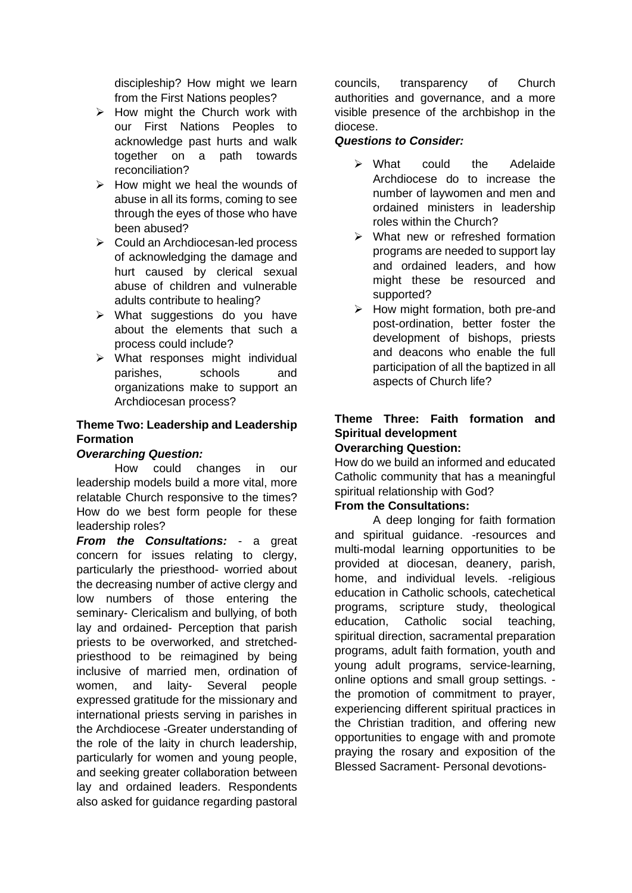discipleship? How might we learn from the First Nations peoples?

- $\triangleright$  How might the Church work with our First Nations Peoples to acknowledge past hurts and walk together on a path towards reconciliation?
- $\triangleright$  How might we heal the wounds of abuse in all its forms, coming to see through the eyes of those who have been abused?
- ➢ Could an Archdiocesan-led process of acknowledging the damage and hurt caused by clerical sexual abuse of children and vulnerable adults contribute to healing?
- ➢ What suggestions do you have about the elements that such a process could include?
- ➢ What responses might individual parishes, schools and organizations make to support an Archdiocesan process?

# **Theme Two: Leadership and Leadership Formation**

# *Overarching Question:*

How could changes in our leadership models build a more vital, more relatable Church responsive to the times? How do we best form people for these leadership roles?

*From the Consultations:* - a great concern for issues relating to clergy, particularly the priesthood- worried about the decreasing number of active clergy and low numbers of those entering the seminary- Clericalism and bullying, of both lay and ordained- Perception that parish priests to be overworked, and stretchedpriesthood to be reimagined by being inclusive of married men, ordination of women, and laity- Several people expressed gratitude for the missionary and international priests serving in parishes in the Archdiocese -Greater understanding of the role of the laity in church leadership, particularly for women and young people, and seeking greater collaboration between lay and ordained leaders. Respondents also asked for guidance regarding pastoral

councils, transparency of Church authorities and governance, and a more visible presence of the archbishop in the diocese.

## *Questions to Consider:*

- ➢ What could the Adelaide Archdiocese do to increase the number of laywomen and men and ordained ministers in leadership roles within the Church?
- ➢ What new or refreshed formation programs are needed to support lay and ordained leaders, and how might these be resourced and supported?
- $\triangleright$  How might formation, both pre-and post-ordination, better foster the development of bishops, priests and deacons who enable the full participation of all the baptized in all aspects of Church life?

#### **Theme Three: Faith formation and Spiritual development Overarching Question:**

How do we build an informed and educated Catholic community that has a meaningful spiritual relationship with God?

# **From the Consultations:**

A deep longing for faith formation and spiritual guidance. -resources and multi-modal learning opportunities to be provided at diocesan, deanery, parish, home, and individual levels. -religious education in Catholic schools, catechetical programs, scripture study, theological education, Catholic social teaching, spiritual direction, sacramental preparation programs, adult faith formation, youth and young adult programs, service-learning, online options and small group settings. the promotion of commitment to prayer, experiencing different spiritual practices in the Christian tradition, and offering new opportunities to engage with and promote praying the rosary and exposition of the Blessed Sacrament- Personal devotions-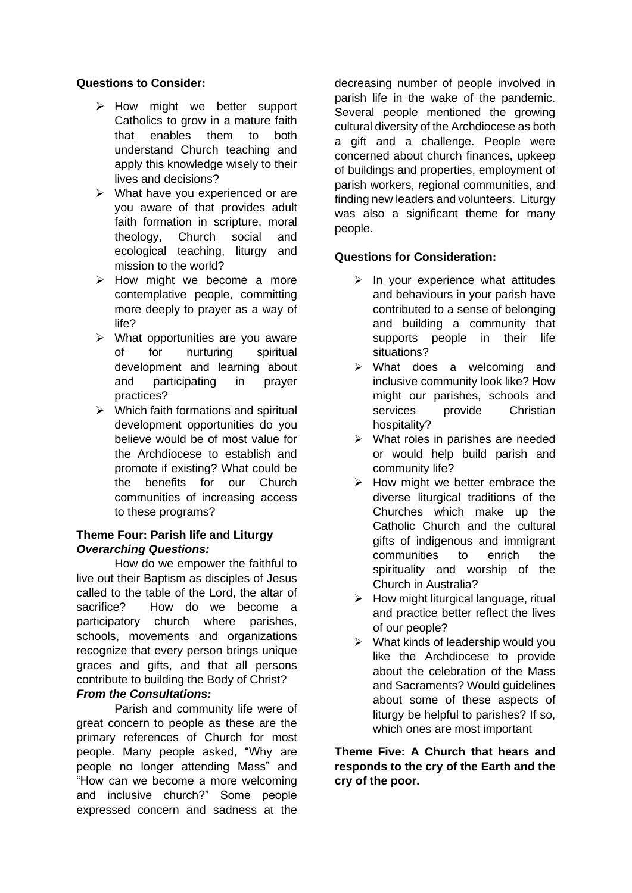#### **Questions to Consider:**

- ➢ How might we better support Catholics to grow in a mature faith that enables them to both understand Church teaching and apply this knowledge wisely to their lives and decisions?
- ➢ What have you experienced or are you aware of that provides adult faith formation in scripture, moral theology, Church social and ecological teaching, liturgy and mission to the world?
- ➢ How might we become a more contemplative people, committing more deeply to prayer as a way of life?
- $\triangleright$  What opportunities are you aware of for nurturing spiritual development and learning about and participating in prayer practices?
- $\triangleright$  Which faith formations and spiritual development opportunities do you believe would be of most value for the Archdiocese to establish and promote if existing? What could be the benefits for our Church communities of increasing access to these programs?

## **Theme Four: Parish life and Liturgy** *Overarching Questions:*

How do we empower the faithful to live out their Baptism as disciples of Jesus called to the table of the Lord, the altar of sacrifice? How do we become a participatory church where parishes, schools, movements and organizations recognize that every person brings unique graces and gifts, and that all persons contribute to building the Body of Christ?

# *From the Consultations:*

Parish and community life were of great concern to people as these are the primary references of Church for most people. Many people asked, "Why are people no longer attending Mass" and "How can we become a more welcoming and inclusive church?" Some people expressed concern and sadness at the

decreasing number of people involved in parish life in the wake of the pandemic. Several people mentioned the growing cultural diversity of the Archdiocese as both a gift and a challenge. People were concerned about church finances, upkeep of buildings and properties, employment of parish workers, regional communities, and finding new leaders and volunteers. Liturgy was also a significant theme for many people.

# **Questions for Consideration:**

- $\triangleright$  In your experience what attitudes and behaviours in your parish have contributed to a sense of belonging and building a community that supports people in their life situations?
- ➢ What does a welcoming and inclusive community look like? How might our parishes, schools and services provide Christian hospitality?
- ➢ What roles in parishes are needed or would help build parish and community life?
- $\triangleright$  How might we better embrace the diverse liturgical traditions of the Churches which make up the Catholic Church and the cultural gifts of indigenous and immigrant communities to enrich the spirituality and worship of the Church in Australia?
- $\triangleright$  How might liturgical language, ritual and practice better reflect the lives of our people?
- $\triangleright$  What kinds of leadership would you like the Archdiocese to provide about the celebration of the Mass and Sacraments? Would guidelines about some of these aspects of liturgy be helpful to parishes? If so, which ones are most important

**Theme Five: A Church that hears and responds to the cry of the Earth and the cry of the poor.**